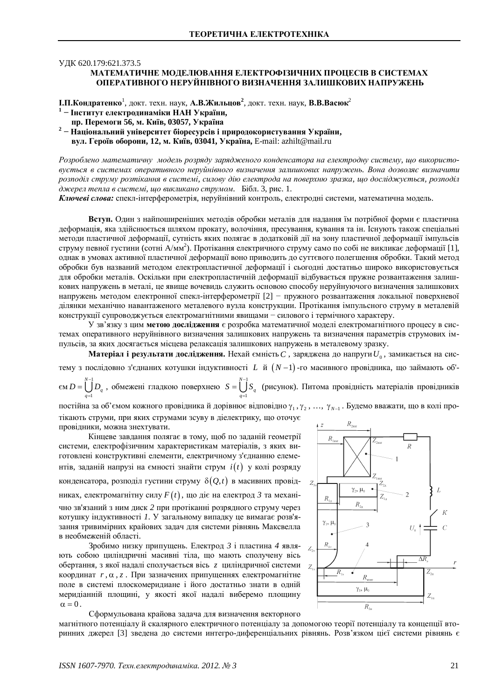## УДК 620.179:621.373.5

## МАТЕМАТИЧНЕ МОЛЕЛЮВАННЯ ЕЛЕКТРОФІЗИЧНИХ ПРОШЕСІВ В СИСТЕМАХ **ОПЕРАТИВНОГО НЕРУЙНІВНОГО ВИЗНАЧЕННЯ ЗАЛИШКОВИХ НАПРУЖЕНЬ**

**І.П.Кондратенко<sup>1</sup>, докт. техн. наук, А.В.Жильцов<sup>2</sup>, докт. техн. наук, В.В.Васюк<sup>2</sup>** 

- <sup>1</sup> Інститут електродинаміки НАН України,
- **пр. Перемоги 56, м. Київ, 03057, Україна**
- <sup>2</sup> Національний університет біоресурсів і природокористування України, **вул. Героїв оборони, 12, м. Київ, 03041, Україна, E-mail: [azhilt@mail.ru](mailto:azhilt:@mail.ru)**

Розроблено математичну модель розряду зарядженого конденсатора на електродну систему, що використо*ɜɭɽɬɶɫɹ ɜɫɢɫɬɟɦɚɯ ɨɩɟɪɚɬɢɜɧɨɝɨɧɟɪɭɣɧɿɜɧɨɝɨ ɜɢɡɧɚɱɟɧɧɹ ɡɚɥɢɲɤɨɜɢɯ ɧɚɩɪɭɠɟɧɶ. ȼɨɧɚ ɞɨɡɜɨɥɹɽ ɜɢɡɧɚɱɢɬɢ*  $p$ озподіл струму розтікання в системі, силову дію електрода на поверхню зразка, що досліджується, розподіл  $∂жерел тепла в системi, шо викликано струмом. Бібл. 3, рис. 1.$ 

Ключеві слова: спекл-інтерферометрія, неруйнівний контроль, електродні системи, математична модель.

**Вступ.** Один з найпоширеніших метолів обробки металів для надання їм потрібної форми є пластична деформація, яка здійснюється шляхом прокату, волочіння, пресування, кування та ін. Існують також спеціальні методи пластичної деформації, сутність яких полягає в додатковій дії на зону пластичної деформації імпульсів струму певної густини (сотні А/мм<sup>2</sup>). Протікання електричного струму само по собі не викликає деформації [1], однак в умовах активної пластичної деформації воно приводить до суттєвого полегшення обробки. Такий метод обробки був названий методом електропластичної деформації і сьогодні достатньо широко використовується для обробки металів. Оскільки при електропластичній деформації відбувається пружне розвантаження залишкових напружень в металі, це явище вочевидь служить основою способу неруйнуючого визначення залишкових напружень методом електронної спекл-інтерферометрії [2] - пружного розвантаження локальної поверхневої ділянки механічно навантаженого металевого вузла конструкции. Протікання імпульсного струму в металевій конструкції супроводжується електромагнітними явищами — силового і термічного характеру.

У зв'язку з цим метою дослідження є розробка математичної моделі електромагнітного процесу в системах оперативного неруйнівного визначення залишкових напружень та визначення параметрів струмових імпульсів, за яких досягається місцева релаксація залишкових напружень в металевому зразку.

Матеріал і результати дослідження. Нехай ємність  $C$  , заряджена до напруги  $U_{\scriptscriptstyle 0}$ , замикається на систему з послідовно з'єднаних котушки індуктивності L й  $(N-1)$ -го масивного провідника, що займають об'-

 $\epsilon$ <sub>M</sub>  $D = \begin{bmatrix} N-1 \\ I \end{bmatrix}$ 1  $D = \bigcup_{n=1}^{N-1} D_q$ , обмежені гладкою поверхнею  $S = \bigcup_{n=1}^{N-1} D_q$ *q* = 1  $S = \bigcup_{q}^{N-1} S_q$  (рисунок). Питома провідність матеріалів провідників *q*  $\overline{a}$ 

постійна за об'ємом кожного провідника й дорівнює відповідно  $\gamma_1, \gamma_2, ..., \gamma_{N-1}$ . Будемо вважати, що в колі протікають струми, при яких струмами зсуву в діелектрику, що оточує

провідники, можна знехтувати.

Кінцеве завдання полягає в тому, щоб по заданій геометрії системи, електрофізичним характеристикам матеріалів, з яких виготовлені конструктивні елементи, електричному з'єднанню елементів, заданій напрузі на ємності знайти струм  $i(t)$  у колі розряду конденсатора, розподіл густини струму  $\delta(Q, t)$  в масивних провідниках, електромагнітну силу  $F(t)$ , що діє на електрод  $\beta$  та механічно зв'язаний з ним диск 2 при протіканні розрядного струму через котушку індуктивності 1. У загальному випадку це вимагає розв'язання тривимірних крайових задач для системи рівнянь Максвелла в необмеженій області.

Зробимо низку припущень. Електрод 3 *і* пластина 4 являють собою шиліндричні масивні тіла, що мають сполучену вісь обертання, з якої надалі сполучається вісь *z* циліндричної системи z координат *r*, α, *z*. При зазначених припущеннях електромагнітне поле в системі плоскомеридиане і його достатньо знати в одній меридіанній площині, у якості якої надалі виберемо площину  $\alpha = 0$ .



магнітного потенціалу й скалярного електричного потенціалу за допомогою теорії потенціалу та концепції вторинних джерел [3] зведена до системи интегро-диференціальних рівнянь. Розв'язком цієї системи рівнянь є